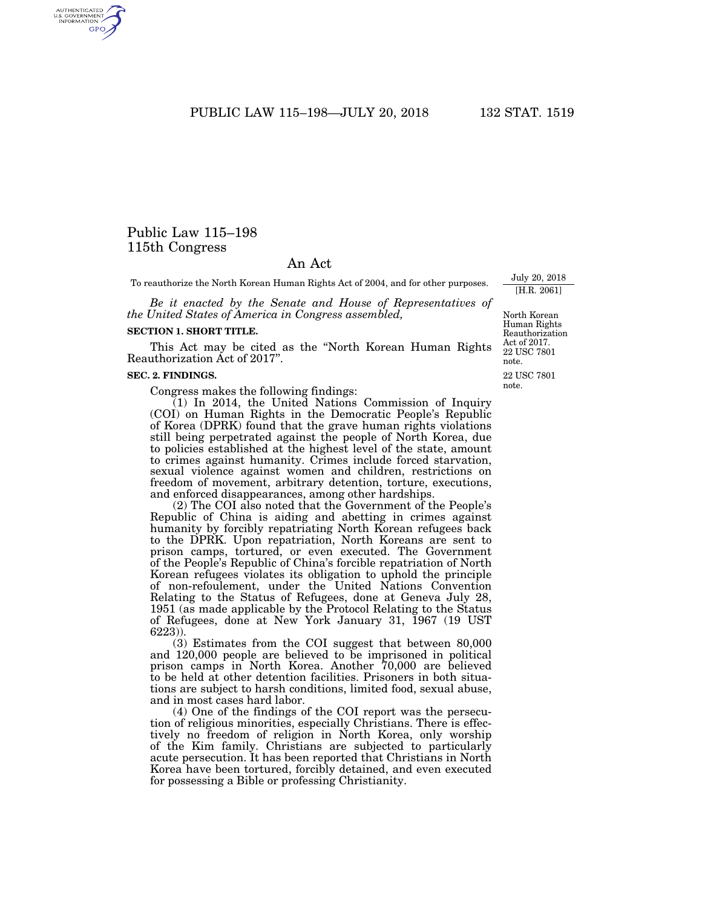PUBLIC LAW 115–198—JULY 20, 2018 132 STAT. 1519

# Public Law 115–198 115th Congress

## An Act

To reauthorize the North Korean Human Rights Act of 2004, and for other purposes.

*Be it enacted by the Senate and House of Representatives of the United States of America in Congress assembled,* 

#### **SECTION 1. SHORT TITLE.**

This Act may be cited as the ''North Korean Human Rights Reauthorization Act of 2017''.

## **SEC. 2. FINDINGS.**

Congress makes the following findings:

(1) In 2014, the United Nations Commission of Inquiry (COI) on Human Rights in the Democratic People's Republic of Korea (DPRK) found that the grave human rights violations still being perpetrated against the people of North Korea, due to policies established at the highest level of the state, amount to crimes against humanity. Crimes include forced starvation, sexual violence against women and children, restrictions on freedom of movement, arbitrary detention, torture, executions, and enforced disappearances, among other hardships.

(2) The COI also noted that the Government of the People's Republic of China is aiding and abetting in crimes against humanity by forcibly repatriating North Korean refugees back to the DPRK. Upon repatriation, North Koreans are sent to prison camps, tortured, or even executed. The Government of the People's Republic of China's forcible repatriation of North Korean refugees violates its obligation to uphold the principle of non-refoulement, under the United Nations Convention Relating to the Status of Refugees, done at Geneva July 28, 1951 (as made applicable by the Protocol Relating to the Status of Refugees, done at New York January 31, 1967 (19 UST 6223)).

(3) Estimates from the COI suggest that between 80,000 and 120,000 people are believed to be imprisoned in political prison camps in North Korea. Another 70,000 are believed to be held at other detention facilities. Prisoners in both situations are subject to harsh conditions, limited food, sexual abuse, and in most cases hard labor.

(4) One of the findings of the COI report was the persecution of religious minorities, especially Christians. There is effectively no freedom of religion in North Korea, only worship of the Kim family. Christians are subjected to particularly acute persecution. It has been reported that Christians in North Korea have been tortured, forcibly detained, and even executed for possessing a Bible or professing Christianity.

22 USC 7801 note. North Korean Human Rights Reauthorization Act of 2017. 22 USC 7801 note.

July 20, 2018 [H.R. 2061]

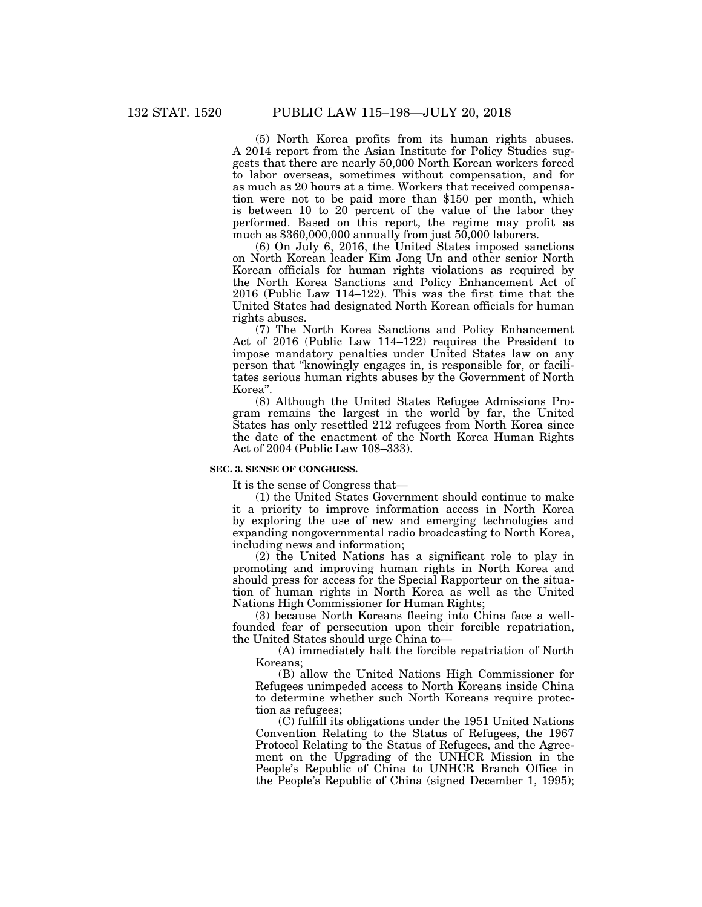(5) North Korea profits from its human rights abuses. A 2014 report from the Asian Institute for Policy Studies suggests that there are nearly 50,000 North Korean workers forced to labor overseas, sometimes without compensation, and for as much as 20 hours at a time. Workers that received compensation were not to be paid more than \$150 per month, which is between 10 to 20 percent of the value of the labor they performed. Based on this report, the regime may profit as much as \$360,000,000 annually from just 50,000 laborers.

(6) On July 6, 2016, the United States imposed sanctions on North Korean leader Kim Jong Un and other senior North Korean officials for human rights violations as required by the North Korea Sanctions and Policy Enhancement Act of 2016 (Public Law 114–122). This was the first time that the United States had designated North Korean officials for human rights abuses.

(7) The North Korea Sanctions and Policy Enhancement Act of 2016 (Public Law 114–122) requires the President to impose mandatory penalties under United States law on any person that ''knowingly engages in, is responsible for, or facilitates serious human rights abuses by the Government of North Korea''.

(8) Although the United States Refugee Admissions Program remains the largest in the world by far, the United States has only resettled 212 refugees from North Korea since the date of the enactment of the North Korea Human Rights Act of 2004 (Public Law 108–333).

## **SEC. 3. SENSE OF CONGRESS.**

It is the sense of Congress that—

(1) the United States Government should continue to make it a priority to improve information access in North Korea by exploring the use of new and emerging technologies and expanding nongovernmental radio broadcasting to North Korea, including news and information;

(2) the United Nations has a significant role to play in promoting and improving human rights in North Korea and should press for access for the Special Rapporteur on the situation of human rights in North Korea as well as the United Nations High Commissioner for Human Rights;

(3) because North Koreans fleeing into China face a wellfounded fear of persecution upon their forcible repatriation, the United States should urge China to—

(A) immediately halt the forcible repatriation of North Koreans;

(B) allow the United Nations High Commissioner for Refugees unimpeded access to North Koreans inside China to determine whether such North Koreans require protection as refugees;

(C) fulfill its obligations under the 1951 United Nations Convention Relating to the Status of Refugees, the 1967 Protocol Relating to the Status of Refugees, and the Agreement on the Upgrading of the UNHCR Mission in the People's Republic of China to UNHCR Branch Office in the People's Republic of China (signed December 1, 1995);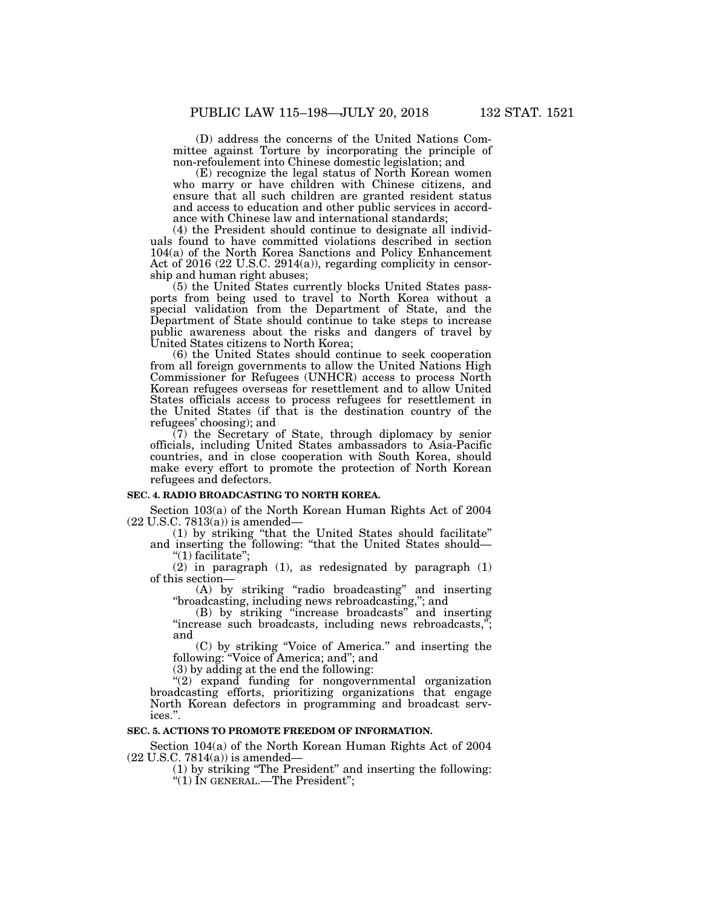(D) address the concerns of the United Nations Committee against Torture by incorporating the principle of non-refoulement into Chinese domestic legislation; and

(E) recognize the legal status of North Korean women who marry or have children with Chinese citizens, and ensure that all such children are granted resident status and access to education and other public services in accordance with Chinese law and international standards;

(4) the President should continue to designate all individuals found to have committed violations described in section 104(a) of the North Korea Sanctions and Policy Enhancement Act of 2016 (22 U.S.C. 2914(a)), regarding complicity in censorship and human right abuses;

(5) the United States currently blocks United States passports from being used to travel to North Korea without a special validation from the Department of State, and the Department of State should continue to take steps to increase public awareness about the risks and dangers of travel by United States citizens to North Korea;

(6) the United States should continue to seek cooperation from all foreign governments to allow the United Nations High Commissioner for Refugees (UNHCR) access to process North Korean refugees overseas for resettlement and to allow United States officials access to process refugees for resettlement in the United States (if that is the destination country of the refugees' choosing); and

(7) the Secretary of State, through diplomacy by senior officials, including United States ambassadors to Asia-Pacific countries, and in close cooperation with South Korea, should make every effort to promote the protection of North Korean refugees and defectors.

## **SEC. 4. RADIO BROADCASTING TO NORTH KOREA.**

Section 103(a) of the North Korean Human Rights Act of 2004 (22 U.S.C. 7813(a)) is amended—

(1) by striking ''that the United States should facilitate'' and inserting the following: ''that the United States should— ''(1) facilitate'';

(2) in paragraph (1), as redesignated by paragraph (1) of this section—

(A) by striking ''radio broadcasting'' and inserting ''broadcasting, including news rebroadcasting,''; and

(B) by striking ''increase broadcasts'' and inserting "increase such broadcasts, including news rebroadcasts,"; and

(C) by striking ''Voice of America.'' and inserting the following: ''Voice of America; and''; and

(3) by adding at the end the following:

 $\cdot$ (2) expand funding for nongovernmental organization broadcasting efforts, prioritizing organizations that engage North Korean defectors in programming and broadcast services.''.

## **SEC. 5. ACTIONS TO PROMOTE FREEDOM OF INFORMATION.**

Section 104(a) of the North Korean Human Rights Act of 2004  $(22 \text{ U.S.C. } 7814(a))$  is amended—

(1) by striking ''The President'' and inserting the following:  $\cdot$ (1) IN GENERAL.—The President";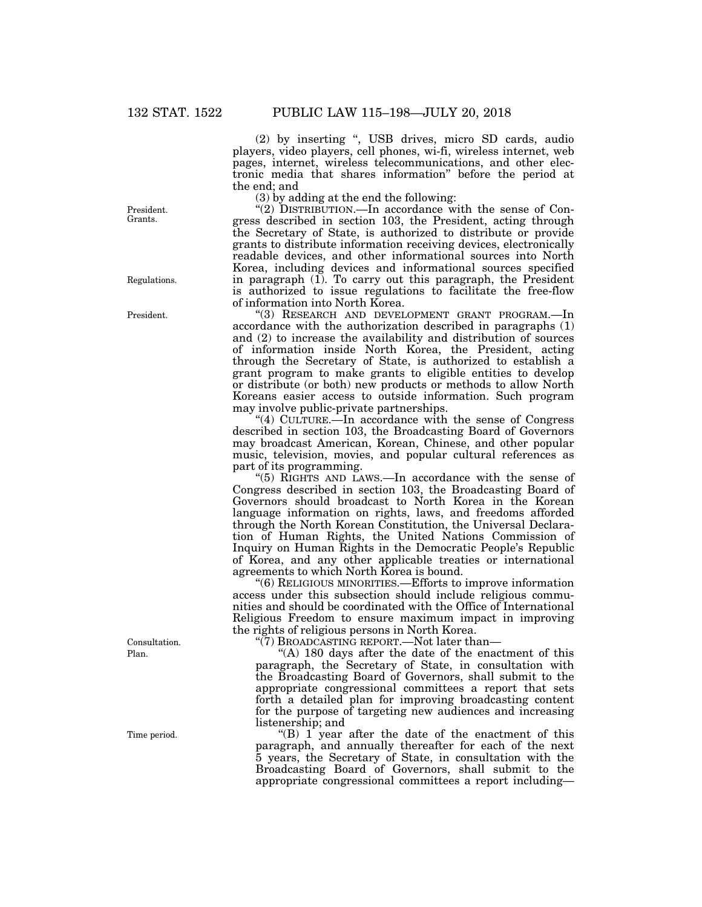(2) by inserting '', USB drives, micro SD cards, audio players, video players, cell phones, wi-fi, wireless internet, web pages, internet, wireless telecommunications, and other electronic media that shares information'' before the period at the end; and

(3) by adding at the end the following:

"(2) DISTRIBUTION.—In accordance with the sense of Congress described in section 103, the President, acting through the Secretary of State, is authorized to distribute or provide grants to distribute information receiving devices, electronically readable devices, and other informational sources into North Korea, including devices and informational sources specified in paragraph (1). To carry out this paragraph, the President is authorized to issue regulations to facilitate the free-flow of information into North Korea.

''(3) RESEARCH AND DEVELOPMENT GRANT PROGRAM.—In accordance with the authorization described in paragraphs (1) and (2) to increase the availability and distribution of sources of information inside North Korea, the President, acting through the Secretary of State, is authorized to establish a grant program to make grants to eligible entities to develop or distribute (or both) new products or methods to allow North Koreans easier access to outside information. Such program may involve public-private partnerships.

''(4) CULTURE.—In accordance with the sense of Congress described in section 103, the Broadcasting Board of Governors may broadcast American, Korean, Chinese, and other popular music, television, movies, and popular cultural references as part of its programming.

''(5) RIGHTS AND LAWS.—In accordance with the sense of Congress described in section 103, the Broadcasting Board of Governors should broadcast to North Korea in the Korean language information on rights, laws, and freedoms afforded through the North Korean Constitution, the Universal Declaration of Human Rights, the United Nations Commission of Inquiry on Human Rights in the Democratic People's Republic of Korea, and any other applicable treaties or international agreements to which North Korea is bound.

''(6) RELIGIOUS MINORITIES.—Efforts to improve information access under this subsection should include religious communities and should be coordinated with the Office of International Religious Freedom to ensure maximum impact in improving the rights of religious persons in North Korea.

"(7) BROADCASTING REPORT.—Not later than—

"(A) 180 days after the date of the enactment of this paragraph, the Secretary of State, in consultation with the Broadcasting Board of Governors, shall submit to the appropriate congressional committees a report that sets forth a detailed plan for improving broadcasting content for the purpose of targeting new audiences and increasing listenership; and

 $f(B)$  1 year after the date of the enactment of this paragraph, and annually thereafter for each of the next 5 years, the Secretary of State, in consultation with the Broadcasting Board of Governors, shall submit to the appropriate congressional committees a report including—

President. Grants.

Regulations.

President.

Plan. Consultation.

Time period.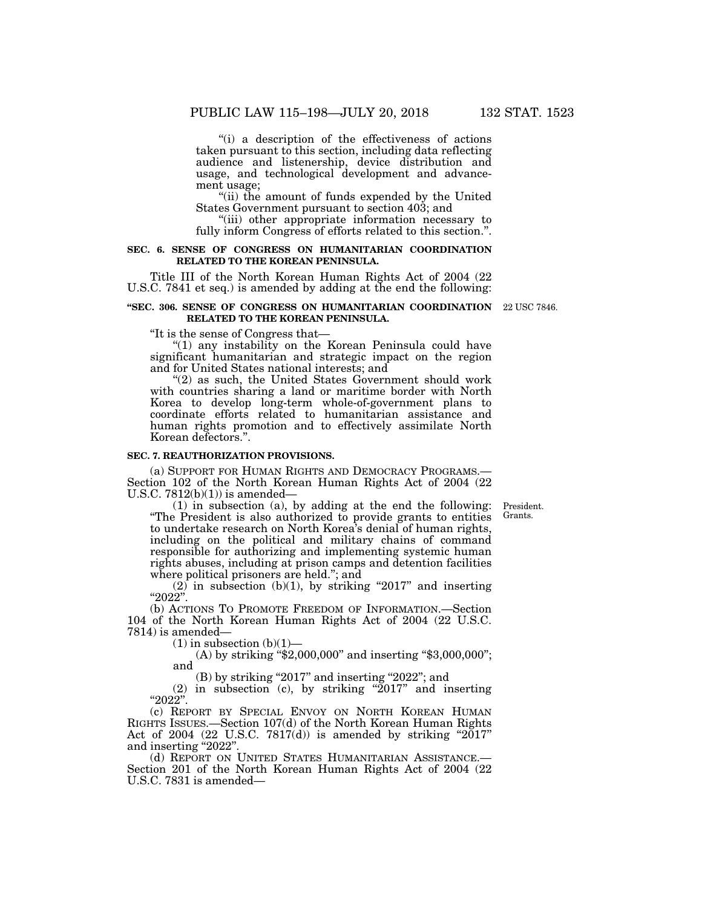"(i) a description of the effectiveness of actions taken pursuant to this section, including data reflecting audience and listenership, device distribution and usage, and technological development and advancement usage;

''(ii) the amount of funds expended by the United States Government pursuant to section 403; and

"(iii) other appropriate information necessary to fully inform Congress of efforts related to this section.''.

## **SEC. 6. SENSE OF CONGRESS ON HUMANITARIAN COORDINATION RELATED TO THE KOREAN PENINSULA.**

Title III of the North Korean Human Rights Act of 2004 (22 U.S.C. 7841 et seq.) is amended by adding at the end the following:

### **''SEC. 306. SENSE OF CONGRESS ON HUMANITARIAN COORDINATION**  22 USC 7846. **RELATED TO THE KOREAN PENINSULA.**

''It is the sense of Congress that—

"(1) any instability on the Korean Peninsula could have significant humanitarian and strategic impact on the region and for United States national interests; and

"(2) as such, the United States Government should work with countries sharing a land or maritime border with North Korea to develop long-term whole-of-government plans to coordinate efforts related to humanitarian assistance and human rights promotion and to effectively assimilate North Korean defectors.''.

#### **SEC. 7. REAUTHORIZATION PROVISIONS.**

(a) SUPPORT FOR HUMAN RIGHTS AND DEMOCRACY PROGRAMS.— Section 102 of the North Korean Human Rights Act of 2004 (22 U.S.C.  $7812(b)(1)$  is amended-

(1) in subsection (a), by adding at the end the following: ''The President is also authorized to provide grants to entities to undertake research on North Korea's denial of human rights, including on the political and military chains of command responsible for authorizing and implementing systemic human rights abuses, including at prison camps and detention facilities where political prisoners are held.''; and

 $(2)$  in subsection  $(b)(1)$ , by striking "2017" and inserting ''2022''.

(b) ACTIONS TO PROMOTE FREEDOM OF INFORMATION.—Section 104 of the North Korean Human Rights Act of 2004 (22 U.S.C. 7814) is amended—

 $(1)$  in subsection  $(b)(1)$ —

(A) by striking "\$2,000,000" and inserting "\$3,000,000"; and

(B) by striking "2017" and inserting "2022"; and

(2) in subsection (c), by striking " $2017$ " and inserting  $"2022"$ 

(c) REPORT BY SPECIAL ENVOY ON NORTH KOREAN HUMAN RIGHTS ISSUES.—Section 107(d) of the North Korean Human Rights Act of 2004 (22 U.S.C.  $7817(d)$ ) is amended by striking "2017" and inserting "2022".<br>
(d) REPORT ON UNITED STATES HUMANITARIAN ASSISTANCE.—

Section 201 of the North Korean Human Rights Act of 2004 (22 U.S.C. 7831 is amended—

President. Grants.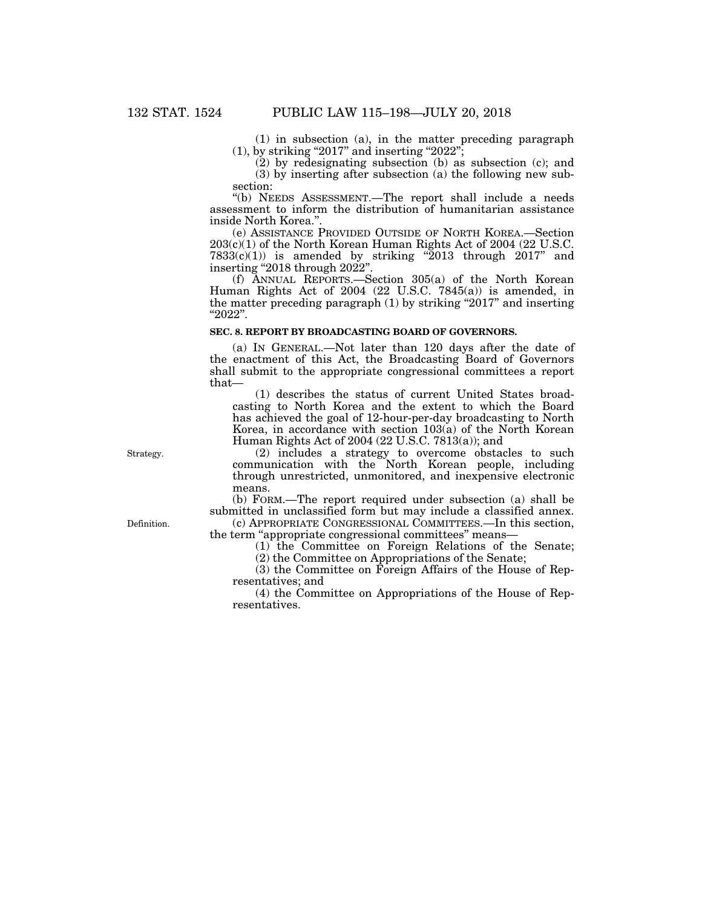(1) in subsection (a), in the matter preceding paragraph  $(1)$ , by striking "2017" and inserting "2022";

(2) by redesignating subsection (b) as subsection (c); and (3) by inserting after subsection (a) the following new subsection:

''(b) NEEDS ASSESSMENT.—The report shall include a needs assessment to inform the distribution of humanitarian assistance inside North Korea.''.

(e) ASSISTANCE PROVIDED OUTSIDE OF NORTH KOREA.—Section 203(c)(1) of the North Korean Human Rights Act of 2004 (22 U.S.C.  $7833(c)(1)$  is amended by striking "2013 through 2017" and inserting "2018 through 2022".

(f) ANNUAL REPORTS.—Section 305(a) of the North Korean Human Rights Act of 2004 (22 U.S.C. 7845(a)) is amended, in the matter preceding paragraph (1) by striking ''2017'' and inserting ''2022''.

## **SEC. 8. REPORT BY BROADCASTING BOARD OF GOVERNORS.**

(a) IN GENERAL.—Not later than 120 days after the date of the enactment of this Act, the Broadcasting Board of Governors shall submit to the appropriate congressional committees a report that—

(1) describes the status of current United States broadcasting to North Korea and the extent to which the Board has achieved the goal of 12-hour-per-day broadcasting to North Korea, in accordance with section 103(a) of the North Korean Human Rights Act of 2004 (22 U.S.C. 7813(a)); and

(2) includes a strategy to overcome obstacles to such communication with the North Korean people, including through unrestricted, unmonitored, and inexpensive electronic means.

(b) FORM.—The report required under subsection (a) shall be submitted in unclassified form but may include a classified annex.

(c) APPROPRIATE CONGRESSIONAL COMMITTEES.—In this section, the term ''appropriate congressional committees'' means—

(1) the Committee on Foreign Relations of the Senate;

(2) the Committee on Appropriations of the Senate;

(3) the Committee on Foreign Affairs of the House of Representatives; and

(4) the Committee on Appropriations of the House of Representatives.

Strategy.

Definition.